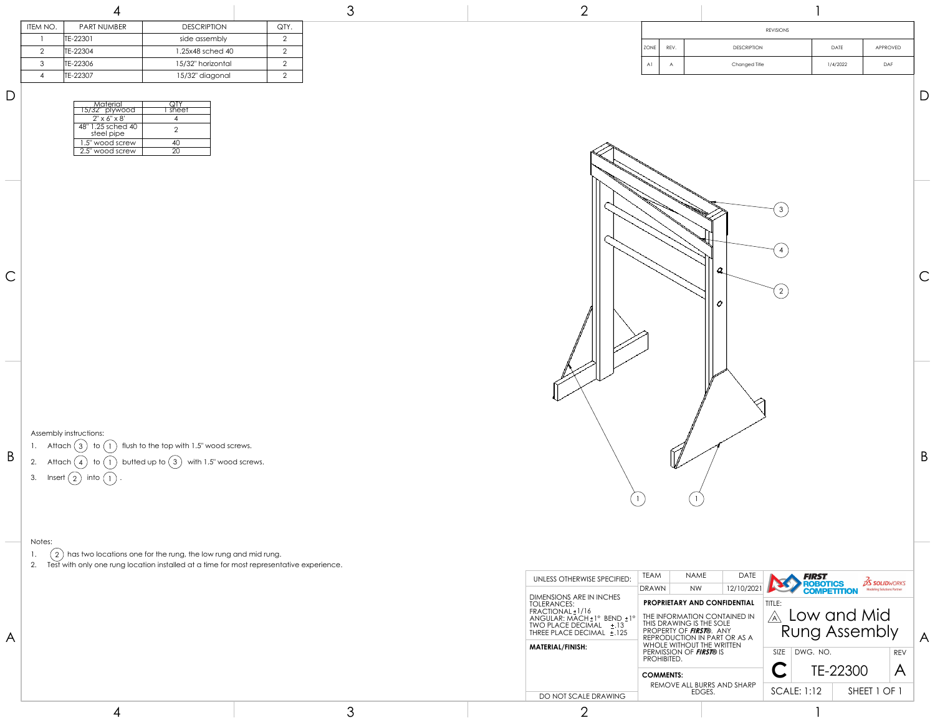

## Notes:

1.  $(2)$  has two locations one for the rung, the low rung and mid rung.

2. Test with only one rung location installed at a time for most representative experience.

Assembly instructions:

- 1. Attach  $\textcircled{3}$  to  $\textcircled{1}$  flush to the top with 1.5" wood screws.
- 3. Insert  $\begin{pmatrix} 2 \end{pmatrix}$  into  $\begin{pmatrix} 1 \end{pmatrix}$ .

| ITEM NO. | <b>PART NUMBER</b> | <b>DESCRIPTION</b> | QTY. |
|----------|--------------------|--------------------|------|
|          | TE-22301           | side assembly      |      |
|          | TE-22304           | 1.25x48 sched 40   |      |
| ર        | TE-22306           | 15/32" horizontal  |      |
|          | TE-22307           | 15/32" diagonal    |      |
|          |                    |                    |      |

| $\mathsf D$ |                                       |         |
|-------------|---------------------------------------|---------|
|             |                                       |         |
|             | <u>  Material</u><br>  15/32" plywood | I sheet |
|             | $2'' \times 6'' \times 8'$            |         |
|             | 25 sched 40 '<br>$\sim$<br>steel pipe |         |
|             | 1.5" wood screw                       | -40     |
|             | 2.5" wood screw                       | 20      |

|                |      | <b>REVISIONS</b>   |          |            |
|----------------|------|--------------------|----------|------------|
| ZONE           | REV. | <b>DESCRIPTION</b> | DATE     | APPROVED   |
| A <sub>1</sub> | A    | Changed Title      | 1/4/2022 | <b>DAF</b> |

3

|  | DO NOT SCALE DRAWING                                                                                                         | <b>COMMENTS:</b><br>REMOVE ALL BURRS AND SHARP<br>EDGES.                                                            | TE-22300<br>SHEET 1 OF 1<br>SCALE: 1:12                                                | $\mathcal{A}$                                                        |
|--|------------------------------------------------------------------------------------------------------------------------------|---------------------------------------------------------------------------------------------------------------------|----------------------------------------------------------------------------------------|----------------------------------------------------------------------|
|  |                                                                                                                              |                                                                                                                     |                                                                                        |                                                                      |
|  |                                                                                                                              |                                                                                                                     |                                                                                        |                                                                      |
|  |                                                                                                                              | PERMISSION OF <b>FIRST®</b> IS<br>PROHIBITED.                                                                       | $SIZE$ DWG. NO.                                                                        | <b>REV</b>                                                           |
|  | <b>TOLERANCES:</b><br>FRACTIONAL±1/16<br>ANGULAR: MACH ± 1° BEND ± 1°<br>TWO PLACE DECIMAL ±.13<br>THREE PLACE DECIMAL ±.125 | THE INFORMATION CONTAINED IN<br>THIS DRAWING IS THE SOLE<br>PROPERTY OF FIRST®. ANY<br>REPRODUCTION IN PART OR AS A | TITLE:<br>$\overline{\mathcal{A}}$                                                     |                                                                      |
|  |                                                                                                                              |                                                                                                                     | <b>COMPETITION</b>                                                                     | <b>Modeling Solutions Partner</b>                                    |
|  | UNLESS OTHERWISE SPECIFIED:                                                                                                  | <b>TEAM</b><br><b>DATE</b><br>NAME                                                                                  | <b>FIRST</b>                                                                           | <b>OS SOLIDWORKS</b>                                                 |
|  |                                                                                                                              | DIMENSIONS ARE IN INCHES<br><b>MATERIAL/FINISH:</b>                                                                 | <b>NW</b><br>DRAWN<br><b>PROPRIETARY AND CONFIDENTIAL</b><br>WHOLE WITHOUT THE WRITTEN | <b>ROBOTICS</b><br>12/10/2021<br>Low and Mid<br><b>Rung Assembly</b> |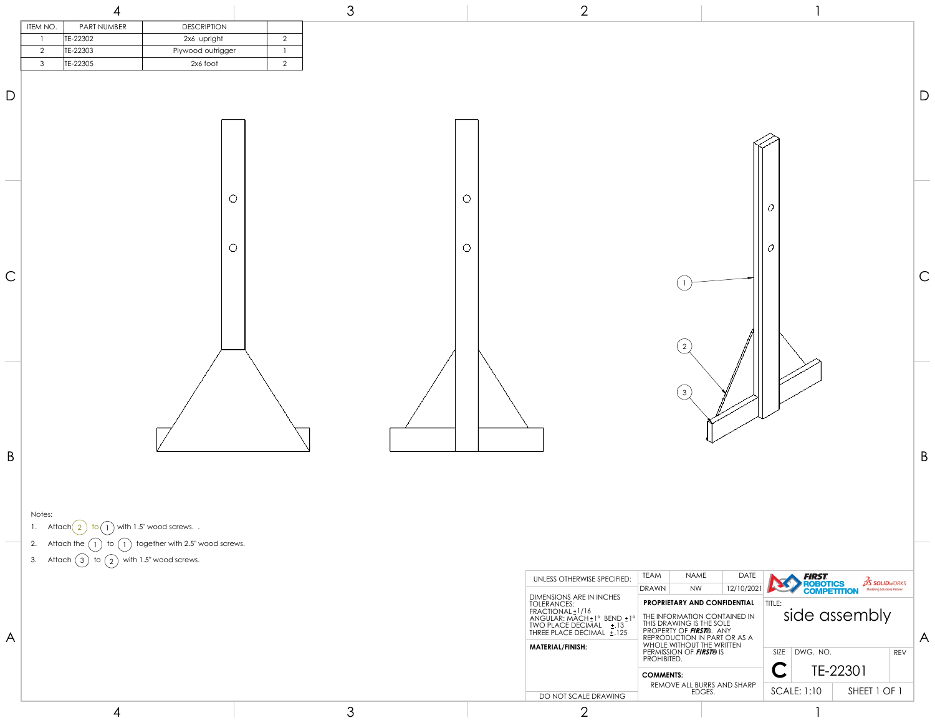- 1. Attach $\begin{pmatrix} 2 \end{pmatrix}$  to  $\begin{pmatrix} 1 \end{pmatrix}$  with 1.5" wood screws..
- 2. Attach the  $\binom{1}{1}$  to  $\binom{1}{1}$  together with 2.5" wood screws.
- 3. Attach  $\binom{3}{2}$  to  $\binom{2}{2}$  with 1.5" wood screws.

| $\overline{D}$ |                                                                                                             |                       |                                             | $\Box$             |
|----------------|-------------------------------------------------------------------------------------------------------------|-----------------------|---------------------------------------------|--------------------|
| $\overline{C}$ | $\circ$<br>$\circ$                                                                                          | $\bigcirc$<br>$\circ$ | $\cal O$<br>$\mathcal{O}$<br>$\overline{2}$ | $\curvearrowright$ |
| B              | Notes:<br>1. Attach 2 to 1 with 1.5" wood screws. .<br>2. Attach the 1 to 1 together with 2.5" wood screws. |                       | (3)                                         | $\mathsf B$        |
|                | $3 + t \cosh(2) + \cosh(2)$<br>with 15" would occur                                                         |                       |                                             |                    |

| ITEM NO. | <b>PART NUMBER</b> | <b>DESCRIPTION</b> |  |
|----------|--------------------|--------------------|--|
|          | TE-22302           | 2x6 upright        |  |
|          | TE-22303           | Plywood outrigger  |  |
| 3        | TE-22305           | 2x6 foot           |  |



4

3



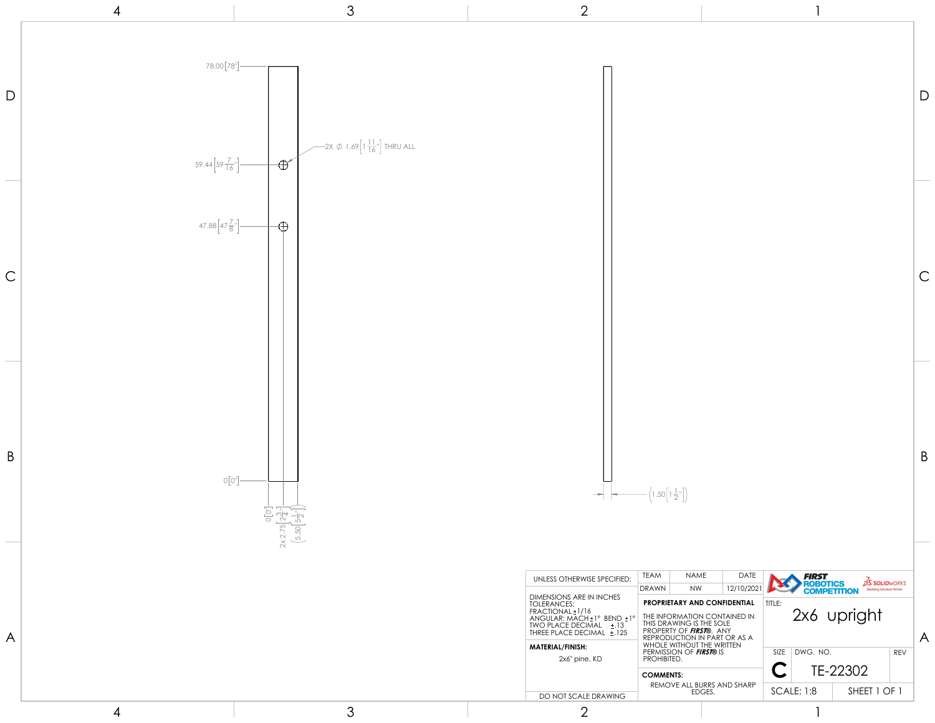



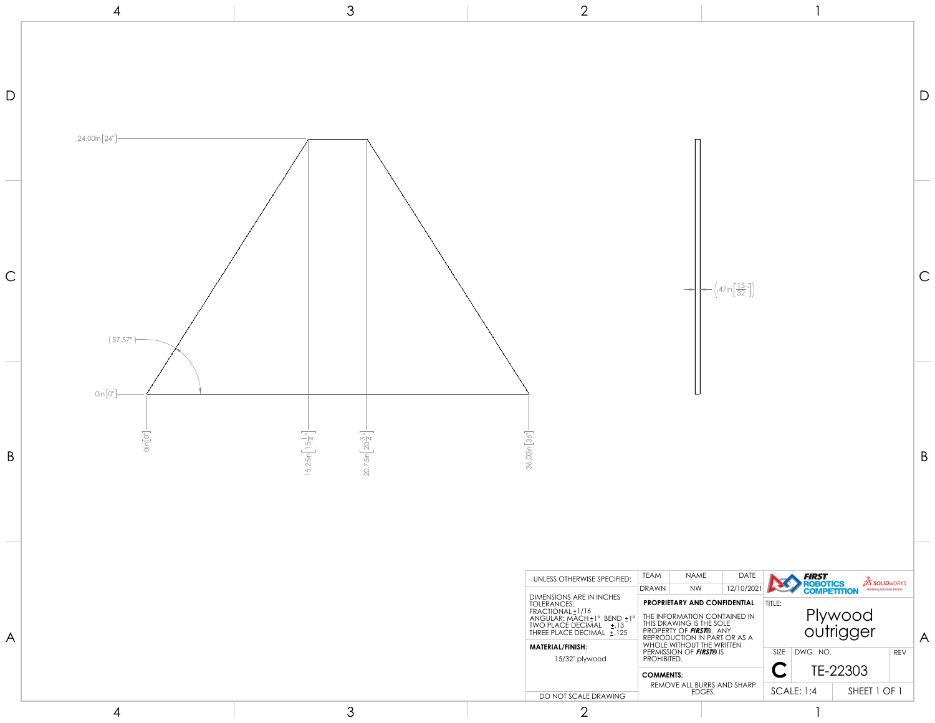

| $\left(47 \text{in} \left[\frac{15}{32} \right]\right)$<br>36.00in [36"]<br><b>TEAM</b><br><b>NAME</b><br>DATE<br><b>FIRST.<br/>ROBOTICS<br/>COMPETITION</b><br>UNLESS OTHERWISE SPECIFIED:<br>12/10/2021<br><b>NW</b><br><b>DRAWN</b> |  |  |  |                                            |
|----------------------------------------------------------------------------------------------------------------------------------------------------------------------------------------------------------------------------------------|--|--|--|--------------------------------------------|
|                                                                                                                                                                                                                                        |  |  |  | $\frac{2}{2}$ SOLI<br><b>Modeling Solu</b> |
|                                                                                                                                                                                                                                        |  |  |  |                                            |
|                                                                                                                                                                                                                                        |  |  |  |                                            |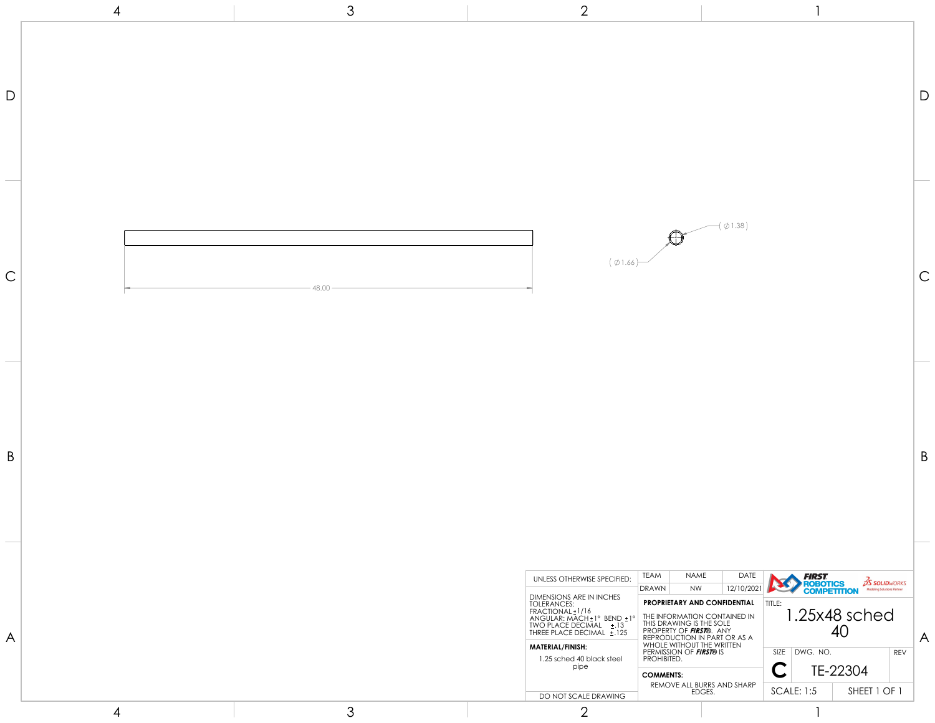



| UNLESS OTHERWISE SPECIFIED:                                                                                                                                      | <b>TEAM</b>      | <b>NAME</b>                                                                                                                                                        | <b>DATE</b>             |                   | <i>FIRST</i>                                                                              |              |   |            |  |
|------------------------------------------------------------------------------------------------------------------------------------------------------------------|------------------|--------------------------------------------------------------------------------------------------------------------------------------------------------------------|-------------------------|-------------------|-------------------------------------------------------------------------------------------|--------------|---|------------|--|
|                                                                                                                                                                  | <b>DRAWN</b>     | 12/10/2021<br><b>NW</b>                                                                                                                                            |                         |                   | <b>SS SOLIDWORKS</b><br><b>ROBOTICS</b><br><b>Modeling Solutions Partner</b><br>MPFTITION |              |   |            |  |
| DIMENSIONS ARE IN INCHES<br>TOLERANCES:<br>FRACIIONAL±1/16<br>$ANGULAR: MACH±1°$ BEND $±1°$<br>±.13<br><b>TWO PLACE DECIMAL</b><br>THREE PLACE DECIMAL<br>$+125$ |                  | <b>PROPRIETARY AND CONFIDENTIAL</b><br>THE INFORMATION CONTAINED IN<br>THIS DRAWING IS THE SOLE<br>PROPERTY OF <b>FIRSTO</b> . ANY<br>REPRODUCTION IN PART OR AS A | TITLE:<br>1.25x48 sched |                   |                                                                                           |              | Д |            |  |
| MATERIAL/FINISH:                                                                                                                                                 |                  | <b>WHOLE WITHOUT THE WRITTEN</b><br>PERMISSION OF <b>FIRST®</b> IS                                                                                                 |                         | <b>SIZE</b>       | DWG. NO.                                                                                  |              |   | <b>REV</b> |  |
| 1.25 sched 40 black steel                                                                                                                                        |                  | PROHIBITED.                                                                                                                                                        |                         |                   |                                                                                           |              |   |            |  |
| pipe                                                                                                                                                             | <b>COMMENTS:</b> |                                                                                                                                                                    |                         |                   |                                                                                           | TE-22304     |   |            |  |
| REMOVE ALL BURRS AND SHARP                                                                                                                                       |                  |                                                                                                                                                                    |                         | <b>SCALE: 1:5</b> |                                                                                           | SHEET 1 OF 1 |   |            |  |
| DO NOT SCALE DRAWING                                                                                                                                             |                  | EDGES.                                                                                                                                                             |                         |                   |                                                                                           |              |   |            |  |
|                                                                                                                                                                  |                  |                                                                                                                                                                    |                         |                   |                                                                                           |              |   |            |  |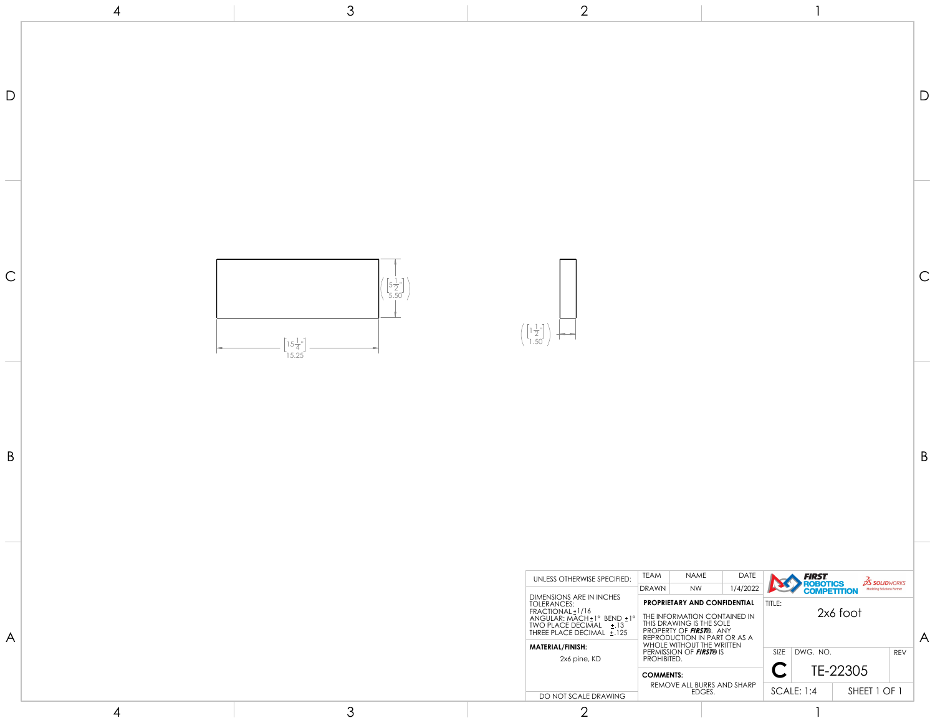

1

| UNLESS OTHERWISE SPECIFIED:                                                                                                                                                            | <b>TEAM</b>                                                                                                                                                        | <b>NAME</b><br><b>DATE</b>                                                 |  |                                                                                                  | FIRST    |  |  |            |  |
|----------------------------------------------------------------------------------------------------------------------------------------------------------------------------------------|--------------------------------------------------------------------------------------------------------------------------------------------------------------------|----------------------------------------------------------------------------|--|--------------------------------------------------------------------------------------------------|----------|--|--|------------|--|
|                                                                                                                                                                                        | 1/4/2022<br><b>NW</b><br><b>DRAWN</b>                                                                                                                              |                                                                            |  | <b>DS SOLIDWORKS</b><br><b>ROBOTICS</b><br><b>Modeling Solutions Partner</b><br><b>MPETITION</b> |          |  |  |            |  |
| DIMENSIONS ARE IN INCHES<br>TOLERANCES:<br>FRACIIONAL±1/16<br>$ANGULAR: MACH \pm 1^{\circ}$ BEND $\pm 1^{\circ}$<br><b>TWO PLACE DECIMAL</b><br>±.13<br>$+.125$<br>THREE PLACE DECIMAL | <b>PROPRIETARY AND CONFIDENTIAL</b><br>THE INFORMATION CONTAINED IN<br>THIS DRAWING IS THE SOLE<br>PROPERTY OF <b>FIRST®</b> . ANY<br>REPRODUCTION IN PART OR AS A |                                                                            |  | TITLE:<br>2x6 foot                                                                               |          |  |  |            |  |
| <b>MATERIAL/FINISH:</b><br>2x6 pine, KD                                                                                                                                                |                                                                                                                                                                    | WHOLE WITHOUT THE WRITTEN<br>PERMISSION OF <b>FIRST®</b> IS<br>PROHIBITED. |  | <b>SIZE</b><br>DWG. NO.                                                                          |          |  |  | <b>REV</b> |  |
|                                                                                                                                                                                        | <b>COMMENTS:</b>                                                                                                                                                   |                                                                            |  |                                                                                                  | TE-22305 |  |  |            |  |
|                                                                                                                                                                                        |                                                                                                                                                                    | REMOVE ALL BURRS AND SHARP                                                 |  | <b>SCALE: 1:4</b><br>SHEET 1 OF 1                                                                |          |  |  |            |  |
| DO NOT SCALE DRAWING                                                                                                                                                                   |                                                                                                                                                                    | EDGES.                                                                     |  |                                                                                                  |          |  |  |            |  |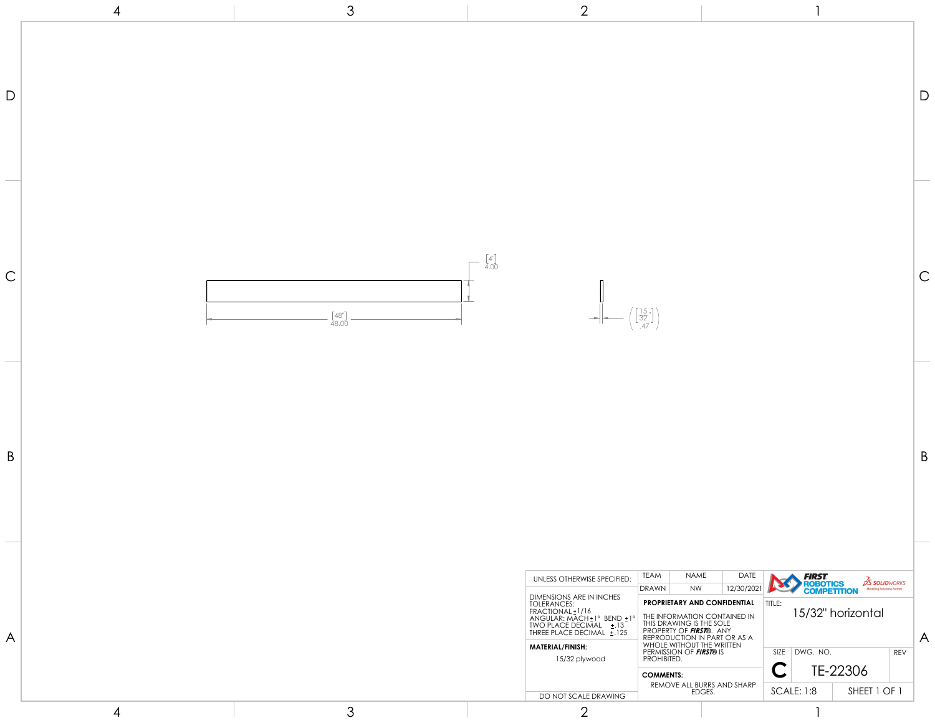| $\left[\frac{15}{32}\right]$ |
|------------------------------|



1

| UNLESS OTHERWISE SPECIFIED:                                                                                                                                                         | <b>TEAM</b>                                          | <b>NAME</b>                                                                                                                                                                                              | <b>DATE</b> |                                                                              | <i>FIRST</i>      |          |              |            |  |
|-------------------------------------------------------------------------------------------------------------------------------------------------------------------------------------|------------------------------------------------------|----------------------------------------------------------------------------------------------------------------------------------------------------------------------------------------------------------|-------------|------------------------------------------------------------------------------|-------------------|----------|--------------|------------|--|
|                                                                                                                                                                                     | <b>DRAWN</b>                                         | <b>NW</b>                                                                                                                                                                                                | 12/30/2021  | <b>OS SOLIDWORKS</b><br><b>ROBOTICS</b><br><b>Modeling Solutions Partner</b> |                   |          |              |            |  |
| DIMENSIONS ARE IN INCHES<br>TOLERANCES:<br>FRACIIONAL±1/16<br>$ANGULAR: MACH±1°$ BEND $±1°$<br>TWO PLACE DECIMAL<br>$\pm .13$<br>THREE PLACE DECIMAL<br>$+.125$<br>MATERIAL/FINISH: |                                                      | <b>PROPRIETARY AND CONFIDENTIAL</b><br>TITLE:<br>THE INFORMATION CONTAINED IN<br>THIS DRAWING IS THE SOLE<br>PROPERTY OF <b>FIRSTO.</b> ANY<br>REPRODUCTION IN PART OR AS A<br>WHOLE WITHOUT THE WRITTEN |             |                                                                              | 15/32" horizontal |          |              |            |  |
| 15/32 plywood                                                                                                                                                                       | PERMISSION OF <b>FIRST®</b> IS<br><b>PROHIBITED.</b> |                                                                                                                                                                                                          |             | <b>SIZE</b>                                                                  | DWG. NO.          |          |              | <b>REV</b> |  |
|                                                                                                                                                                                     | <b>COMMENTS:</b>                                     | REMOVE ALL BURRS AND SHARP                                                                                                                                                                               |             |                                                                              |                   | TE-22306 |              |            |  |
| DO NOT SCALE DRAWING                                                                                                                                                                |                                                      | EDGES.                                                                                                                                                                                                   |             |                                                                              | <b>SCALE: 1:8</b> |          | SHEET 1 OF 1 |            |  |